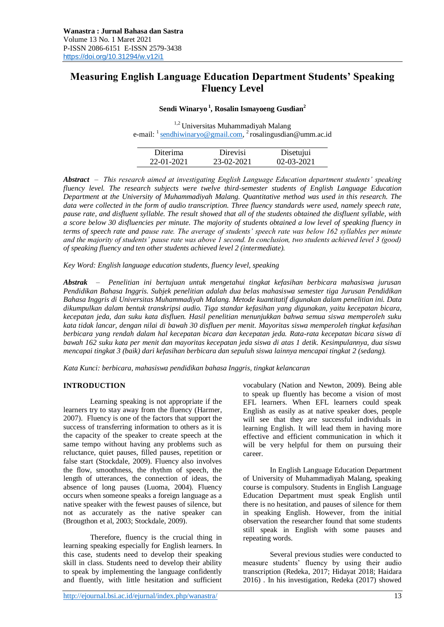# **Measuring English Language Education Department Students' Speaking Fluency Level**

## **Sendi Winaryo <sup>1</sup> , Rosalin Ismayoeng Gusdian<sup>2</sup>**

1,2 Universitas Muhammadiyah Malang e-mail:  $\frac{1}{2}$  [sendhiwinaryo@gmail.com,](mailto:sendhiwinaryo@gmail.com)  $\frac{2}{3}$  rosalingusdian@umm.ac.id

| Diterima   | Direvisi   | Disetujui        |
|------------|------------|------------------|
| 22-01-2021 | 23-02-2021 | $02 - 03 - 2021$ |

*Abstract – This research aimed at investigating English Language Education department students' speaking fluency level. The research subjects were twelve third-semester students of English Language Education Department at the University of Muhammadiyah Malang. Quantitative method was used in this research. The data were collected in the form of audio transcription. Three fluency standards were used, namely speech rate, pause rate, and disfluent syllable. The result showed that all of the students obtained the disfluent syllable, with a score below 30 disfluencies per minute. The majority of students obtained a low level of speaking fluency in terms of speech rate and pause rate. The average of students' speech rate was below 162 syllables per minute and the majority of students' pause rate was above 1 second. In conclusion, two students achieved level 3 (good) of speaking fluency and ten other students achieved level 2 (intermediate).*

*Key Word: English language education students, fluency level, speaking*

*Abstrak – Penelitian ini bertujuan untuk mengetahui tingkat kefasihan berbicara mahasiswa jurusan Pendidikan Bahasa Inggris. Subjek penelitian adalah dua belas mahasiswa semester tiga Jurusan Pendidikan Bahasa Inggris di Universitas Muhammadiyah Malang. Metode kuantitatif digunakan dalam penelitian ini. Data dikumpulkan dalam bentuk transkripsi audio. Tiga standar kefasihan yang digunakan, yaitu kecepatan bicara, kecepatan jeda, dan suku kata disfluen. Hasil penelitian menunjukkan bahwa semua siswa memperoleh suku kata tidak lancar, dengan nilai di bawah 30 disfluen per menit. Mayoritas siswa memperoleh tingkat kefasihan berbicara yang rendah dalam hal kecepatan bicara dan kecepatan jeda. Rata-rata kecepatan bicara siswa di bawah 162 suku kata per menit dan mayoritas kecepatan jeda siswa di atas 1 detik. Kesimpulannya, dua siswa mencapai tingkat 3 (baik) dari kefasihan berbicara dan sepuluh siswa lainnya mencapai tingkat 2 (sedang).*

*Kata Kunci: berbicara, mahasiswa pendidikan bahasa Inggris, tingkat kelancaran*

#### **INTRODUCTION**

Learning speaking is not appropriate if the learners try to stay away from the fluency (Harmer, 2007). Fluency is one of the factors that support the success of transferring information to others as it is the capacity of the speaker to create speech at the same tempo without having any problems such as reluctance, quiet pauses, filled pauses, repetition or false start (Stockdale, 2009). Fluency also involves the flow, smoothness, the rhythm of speech, the length of utterances, the connection of ideas, the absence of long pauses (Luoma, 2004). Fluency occurs when someone speaks a foreign language as a native speaker with the fewest pauses of silence, but not as accurately as the native speaker can (Brougthon et al, 2003; Stockdale, 2009).

Therefore, fluency is the crucial thing in learning speaking especially for English learners. In this case, students need to develop their speaking skill in class. Students need to develop their ability to speak by implementing the language confidently and fluently, with little hesitation and sufficient vocabulary (Nation and Newton, 2009). Being able to speak up fluently has become a vision of most EFL learners. When EFL learners could speak English as easily as at native speaker does, people will see that they are successful individuals in learning English. It will lead them in having more effective and efficient communication in which it will be very helpful for them on pursuing their career.

In English Language Education Department of University of Muhammadiyah Malang, speaking course is compulsory. Students in English Language Education Department must speak English until there is no hesitation, and pauses of silence for them in speaking English. However, from the initial observation the researcher found that some students still speak in English with some pauses and repeating words.

Several previous studies were conducted to measure students' fluency by using their audio transcription (Redeka, 2017; Hidayat 2018; Haidara 2016) . In his investigation, Redeka (2017) showed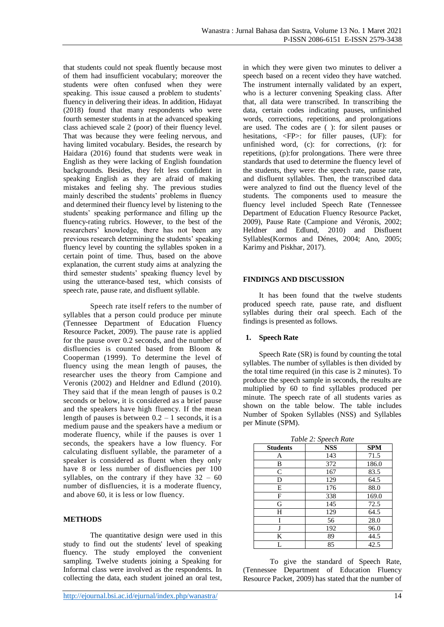that students could not speak fluently because most of them had insufficient vocabulary; moreover the students were often confused when they were speaking. This issue caused a problem to students' fluency in delivering their ideas. In addition, Hidayat (2018) found that many respondents who were fourth semester students in at the advanced speaking class achieved scale 2 (poor) of their fluency level. That was because they were feeling nervous, and having limited vocabulary. Besides, the research by Haidara (2016) found that students were weak in English as they were lacking of English foundation backgrounds. Besides, they felt less confident in speaking English as they are afraid of making mistakes and feeling shy. The previous studies mainly described the students' problems in fluency and determined their fluency level by listening to the students' speaking performance and filling up the fluency-rating rubrics. However, to the best of the researchers' knowledge, there has not been any previous research determining the students' speaking fluency level by counting the syllables spoken in a certain point of time. Thus, based on the above explanation, the current study aims at analyzing the third semester students' speaking fluency level by using the utterance-based test, which consists of speech rate, pause rate, and disfluent syllable.

Speech rate itself refers to the number of syllables that a person could produce per minute (Tennessee Department of Education Fluency Resource Packet, 2009). The pause rate is applied for the pause over 0.2 seconds, and the number of disfluencies is counted based from Bloom & Cooperman (1999). To determine the level of fluency using the mean length of pauses, the researcher uses the theory from Campione and Veronis (2002) and Heldner and Edlund (2010). They said that if the mean length of pauses is 0.2 seconds or below, it is considered as a brief pause and the speakers have high fluency. If the mean length of pauses is between  $0.2 - 1$  seconds, it is a medium pause and the speakers have a medium or moderate fluency, while if the pauses is over 1 seconds, the speakers have a low fluency. For calculating disfluent syllable, the parameter of a speaker is considered as fluent when they only have 8 or less number of disfluencies per 100 syllables, on the contrary if they have  $32 - 60$ number of disfluencies, it is a moderate fluency, and above 60, it is less or low fluency.

#### **METHODS**

The quantitative design were used in this study to find out the students' level of speaking fluency. The study employed the convenient sampling. Twelve students joining a Speaking for Informal class were involved as the respondents. In collecting the data, each student joined an oral test,

in which they were given two minutes to deliver a speech based on a recent video they have watched. The instrument internally validated by an expert, who is a lecturer convening Speaking class. After that, all data were transcribed. In transcribing the data, certain codes indicating pauses, unfinished words, corrections, repetitions, and prolongations are used. The codes are ( ): for silent pauses or hesitations, <FP>: for filler pauses, (UF): for unfinished word, (c): for corrections, (r): for repetitions, (p):for prolongations. There were three standards that used to determine the fluency level of the students, they were: the speech rate, pause rate, and disfluent syllables. Then, the transcribed data were analyzed to find out the fluency level of the students. The components used to measure the fluency level included Speech Rate (Tennessee Department of Education Fluency Resource Packet, 2009), Pause Rate (Campione and Véronis, 2002; Heldner and Edlund, 2010) and Disfluent Syllables(Kormos and Dénes, 2004; Ano, 2005; Karimy and Piskhar, 2017).

#### **FINDINGS AND DISCUSSION**

It has been found that the twelve students produced speech rate, pause rate, and disfluent syllables during their oral speech. Each of the findings is presented as follows.

#### **1. Speech Rate**

Speech Rate (SR) is found by counting the total syllables. The number of syllables is then divided by the total time required (in this case is 2 minutes). To produce the speech sample in seconds, the results are multiplied by 60 to find syllables produced per minute. The speech rate of all students varies as shown on the table below. The table includes Number of Spoken Syllables (NSS) and Syllables per Minute (SPM).

| Table 2: Speech Rate |            |            |  |
|----------------------|------------|------------|--|
| <b>Students</b>      | <b>NSS</b> | <b>SPM</b> |  |
| Α                    | 143        | 71.5       |  |
| B                    | 372        | 186.0      |  |
| C                    | 167        | 83.5       |  |
| D                    | 129        | 64.5       |  |
| E                    | 176        | 88.0       |  |
| F                    | 338        | 169.0      |  |
| G                    | 145        | 72.5       |  |
| H                    | 129        | 64.5       |  |
| Ī                    | 56         | 28.0       |  |
| J                    | 192        | 96.0       |  |
| K                    | 89         | 44.5       |  |
| L                    | 85         | 42.5       |  |

To give the standard of Speech Rate, (Tennessee Department of Education Fluency Resource Packet, 2009) has stated that the number of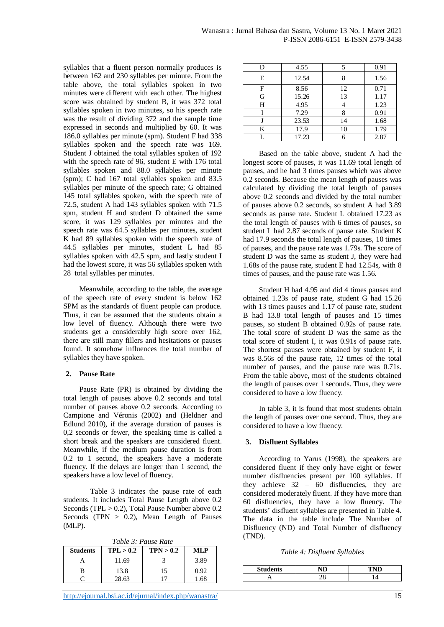syllables that a fluent person normally produces is between 162 and 230 syllables per minute. From the table above, the total syllables spoken in two minutes were different with each other. The highest score was obtained by student B, it was 372 total syllables spoken in two minutes, so his speech rate was the result of dividing 372 and the sample time expressed in seconds and multiplied by 60. It was 186.0 syllables per minute (spm). Student F had 338 syllables spoken and the speech rate was 169. Student J obtained the total syllables spoken of 192 with the speech rate of 96, student E with 176 total syllables spoken and 88.0 syllables per minute (spm); C had 167 total syllables spoken and 83.5 syllables per minute of the speech rate; G obtained 145 total syllables spoken, with the speech rate of 72.5, student A had 143 syllables spoken with 71.5 spm, student H and student D obtained the same score, it was 129 syllables per minutes and the speech rate was 64.5 syllables per minutes, student K had 89 syllables spoken with the speech rate of 44.5 syllables per minutes, student L had 85 syllables spoken with 42.5 spm, and lastly student I had the lowest score, it was 56 syllables spoken with 28 total syllables per minutes.

Meanwhile, according to the table, the average of the speech rate of every student is below 162 SPM as the standards of fluent people can produce. Thus, it can be assumed that the students obtain a low level of fluency. Although there were two students get a considerably high score over 162, there are still many fillers and hesitations or pauses found. It somehow influences the total number of syllables they have spoken.

#### **2. Pause Rate**

Pause Rate (PR) is obtained by dividing the total length of pauses above 0.2 seconds and total number of pauses above 0.2 seconds. According to Campione and Véronis (2002) and (Heldner and Edlund 2010), if the average duration of pauses is 0,2 seconds or fewer, the speaking time is called a short break and the speakers are considered fluent. Meanwhile, if the medium pause duration is from 0.2 to 1 second, the speakers have a moderate fluency. If the delays are longer than 1 second, the speakers have a low level of fluency.

Table 3 indicates the pause rate of each students. It includes Total Pause Length above 0.2 Seconds (TPL > 0.2), Total Pause Number above 0.2 Seconds (TPN > 0.2), Mean Length of Pauses (MLP).

*Table 3: Pause Rate*

| <b>Students</b> | TPL > 0.2 | TPN > 0.2 | MLP  |
|-----------------|-----------|-----------|------|
|                 | 11.69     |           | 3.89 |
|                 | 13.8      |           | በ 92 |
|                 | 28.63     |           | 68   |

| D | 4.55  |    | 0.91 |
|---|-------|----|------|
| E | 12.54 |    | 1.56 |
| F | 8.56  | 12 | 0.71 |
| G | 15.26 | 13 | 1.17 |
| Н | 4.95  |    | 1.23 |
|   | 7.29  |    | 0.91 |
|   | 23.53 | 14 | 1.68 |
| K | 17.9  | 10 | 1.79 |
|   | 17.23 |    | 2.87 |

Based on the table above, student A had the longest score of pauses, it was 11.69 total length of pauses, and he had 3 times pauses which was above 0.2 seconds. Because the mean length of pauses was calculated by dividing the total length of pauses above 0.2 seconds and divided by the total number of pauses above 0.2 seconds, so student A had 3.89 seconds as pause rate. Student L obtained 17.23 as the total length of pauses with 6 times of pauses, so student L had 2.87 seconds of pause rate. Student K had 17.9 seconds the total length of pauses, 10 times of pauses, and the pause rate was 1.79s. The score of student D was the same as student J, they were had 1.68s of the pause rate, student E had 12.54s, with 8 times of pauses, and the pause rate was 1.56.

Student H had 4.95 and did 4 times pauses and obtained 1.23s of pause rate, student G had 15.26 with 13 times pauses and 1.17 of pause rate, student B had 13.8 total length of pauses and 15 times pauses, so student B obtained 0.92s of pause rate. The total score of student D was the same as the total score of student I, it was 0.91s of pause rate. The shortest pauses were obtained by student F, it was 8.56s of the pause rate, 12 times of the total number of pauses, and the pause rate was 0.71s. From the table above, most of the students obtained the length of pauses over 1 seconds. Thus, they were considered to have a low fluency.

In table 3, it is found that most students obtain the length of pauses over one second. Thus, they are considered to have a low fluency.

#### **3. Disfluent Syllables**

According to Yarus (1998), the speakers are considered fluent if they only have eight or fewer number disfluencies present per 100 syllables. If they achieve 32 – 60 disfluencies, they are considered moderately fluent. If they have more than 60 disfluencies, they have a low fluency. The students' disfluent syllables are presented in Table 4. The data in the table include The Number of Disfluency (ND) and Total Number of disfluency (TND).

*Table 4: Disfluent Syllables*

| Students |  |
|----------|--|
|          |  |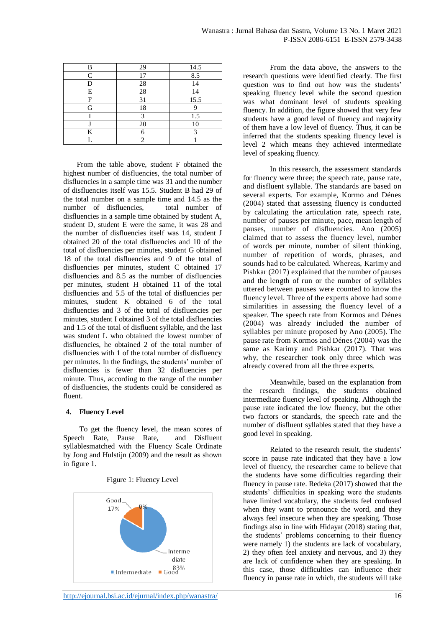| B         | 29 | 14.5 |
|-----------|----|------|
| $\subset$ | 17 | 8.5  |
| D         | 28 | 14   |
| E         | 28 | 14   |
| F         | 31 | 15.5 |
| G         | 18 |      |
|           |    | 1.5  |
|           | 20 | 10   |
| K         |    |      |
|           |    |      |

From the table above, student F obtained the highest number of disfluencies, the total number of disfluencies in a sample time was 31 and the number of disfluencies itself was 15.5. Student B had 29 of the total number on a sample time and 14.5 as the number of disfluencies. total number of disfluencies in a sample time obtained by student A, student D, student E were the same, it was 28 and the number of disfluencies itself was 14, student J obtained 20 of the total disfluencies and 10 of the total of disfluencies per minutes, student G obtained 18 of the total disfluencies and 9 of the total of disfluencies per minutes, student C obtained 17 disfluencies and 8.5 as the number of disfluencies per minutes, student H obtained 11 of the total disfluencies and 5.5 of the total of disfluencies per minutes, student K obtained 6 of the total disfluencies and 3 of the total of disfluencies per minutes, student I obtained 3 of the total disfluencies and 1.5 of the total of disfluent syllable, and the last was student L who obtained the lowest number of disfluencies, he obtained 2 of the total number of disfluencies with 1 of the total number of disfluency per minutes. In the findings, the students' number of disfluencies is fewer than 32 disfluencies per minute. Thus, according to the range of the number of disfluencies, the students could be considered as fluent.

#### **4. Fluency Level**

To get the fluency level, the mean scores of Speech Rate, Pause Rate, and Disfluent syllablesmatched with the Fluency Scale Ordinate by Jong and Hulstijn (2009) and the result as shown in figure 1.



Figure 1: Fluency Level

From the data above, the answers to the research questions were identified clearly. The first question was to find out how was the students' speaking fluency level while the second question was what dominant level of students speaking fluency. In addition, the figure showed that very few students have a good level of fluency and majority of them have a low level of fluency. Thus, it can be inferred that the students speaking fluency level is level 2 which means they achieved intermediate level of speaking fluency.

In this research, the assessment standards for fluency were three; the speech rate, pause rate, and disfluent syllable. The standards are based on several experts. For example, Kormo and Dénes (2004) stated that assessing fluency is conducted by calculating the articulation rate, speech rate, number of pauses per minute, pace, mean length of pauses, number of disfluencies. Ano (2005) claimed that to assess the fluency level, number of words per minute, number of silent thinking, number of repetition of words, phrases, and sounds had to be calculated. Whereas, Karimy and Pishkar (2017) explained that the number of pauses and the length of run or the number of syllables uttered between pauses were counted to know the fluency level. Three of the experts above had some similarities in assessing the fluency level of a speaker. The speech rate from Kormos and Dénes (2004) was already included the number of syllables per minute proposed by Ano (2005). The pause rate from Kormos and Dénes (2004) was the same as Karimy and Pishkar (2017). That was why, the researcher took only three which was already covered from all the three experts.

Meanwhile, based on the explanation from the research findings, the students obtained intermediate fluency level of speaking. Although the pause rate indicated the low fluency, but the other two factors or standards, the speech rate and the number of disfluent syllables stated that they have a good level in speaking.

Related to the research result, the students' score in pause rate indicated that they have a low level of fluency, the researcher came to believe that the students have some difficulties regarding their fluency in pause rate. Redeka (2017) showed that the students' difficulties in speaking were the students have limited vocabulary, the students feel confused when they want to pronounce the word, and they always feel insecure when they are speaking. Those findings also in line with Hidayat (2018) stating that, the students' problems concerning to their fluency were namely 1) the students are lack of vocabulary, 2) they often feel anxiety and nervous, and 3) they are lack of confidence when they are speaking. In this case, those difficulties can influence their fluency in pause rate in which, the students will take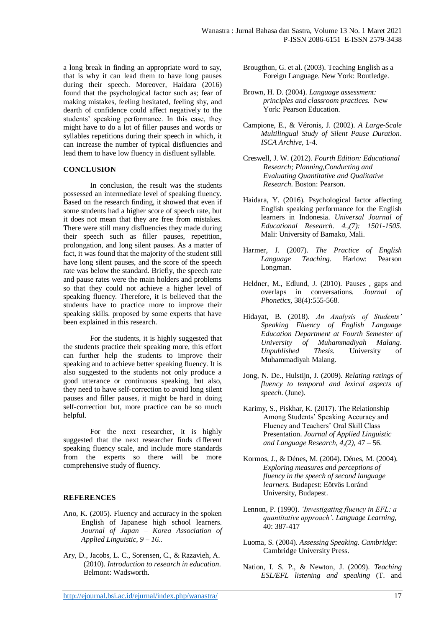a long break in finding an appropriate word to say, that is why it can lead them to have long pauses during their speech. Moreover, Haidara (2016) found that the psychological factor such as; fear of making mistakes, feeling hesitated, feeling shy, and dearth of confidence could affect negatively to the students' speaking performance. In this case, they might have to do a lot of filler pauses and words or syllables repetitions during their speech in which, it can increase the number of typical disfluencies and lead them to have low fluency in disfluent syllable.

### **CONCLUSION**

In conclusion, the result was the students possessed an intermediate level of speaking fluency. Based on the research finding, it showed that even if some students had a higher score of speech rate, but it does not mean that they are free from mistakes. There were still many disfluencies they made during their speech such as filler pauses, repetition, prolongation, and long silent pauses. As a matter of fact, it was found that the majority of the student still have long silent pauses, and the score of the speech rate was below the standard. Briefly, the speech rate and pause rates were the main holders and problems so that they could not achieve a higher level of speaking fluency. Therefore, it is believed that the students have to practice more to improve their speaking skills. proposed by some experts that have been explained in this research.

For the students, it is highly suggested that the students practice their speaking more, this effort can further help the students to improve their speaking and to achieve better speaking fluency. It is also suggested to the students not only produce a good utterance or continuous speaking, but also, they need to have self-correction to avoid long silent pauses and filler pauses, it might be hard in doing self-correction but, more practice can be so much helpful.

For the next researcher, it is highly suggested that the next researcher finds different speaking fluency scale, and include more standards from the experts so there will be more comprehensive study of fluency.

## **REFERENCES**

- Ano, K. (2005). Fluency and accuracy in the spoken English of Japanese high school learners. *Journal of Japan – Korea Association of Applied Linguistic, 9 – 16.*.
- Ary, D., Jacobs, L. C., Sorensen, C., & Razavieh, A. (2010). *Introduction to research in education*. Belmont: Wadsworth.

Brougthon, G. et al. (2003). Teaching English as a Foreign Language. New York: Routledge.

- Brown, H. D. (2004). *Language assessment: principles and classroom practices.* New York: Pearson Education.
- Campione, E., & Véronis, J. (2002). *A Large-Scale Multilingual Study of Silent Pause Duration*. *ISCA Archive,* 1-4.
- Creswell, J. W. (2012). *Fourth Edition: Educational Research; Planning,Conducting and Evaluating Quantitative and Qualitative Research*. Boston: Pearson.
- Haidara, Y. (2016). Psychological factor affecting English speaking performance for the English learners in Indonesia. *Universal Journal of Educational Research. 4.,(7): 1501-1505.*  Mali: University of Bamako, Mali.
- Harmer, J. (2007). *The Practice of English Language Teaching*. Harlow: Pearson Longman.
- Heldner, M., Edlund, J. (2010). Pauses , gaps and overlaps in conversations. *Journal of Phonetics,* 38(4):555-568.
- Hidayat, B. (2018). *An Analysis of Students' Speaking Fluency of English Language Education Department at Fourth Semester of University of Muhammadiyah Malang*. *Unpublished Thesis.* University of Muhammadiyah Malang.
- Jong, N. De., Hulstijn, J. (2009). *Relating ratings of fluency to temporal and lexical aspects of speech*. (June).
- Karimy, S., Piskhar, K. (2017). The Relationship Among Students' Speaking Accuracy and Fluency and Teachers' Oral Skill Class Presentation. *Journal of Applied Linguistic and Language Research, 4,(2),* 47 – 56.
- Kormos, J., & Dénes, M. (2004). Dénes, M. (2004). *Exploring measures and perceptions of fluency in the speech of second language learners.* Budapest: Eötvös Loránd University, Budapest.
- Lennon, P. (1990). *'Investigating fluency in EFL: a quantitative approach'*. *Language Learning*, 40: 387-417
- Luoma, S. (2004). *Assessing Speaking*. *Cambridge*: Cambridge University Press.
- Nation, I. S. P., & Newton, J. (2009). *Teaching ESL/EFL listening and speaking* (T. and